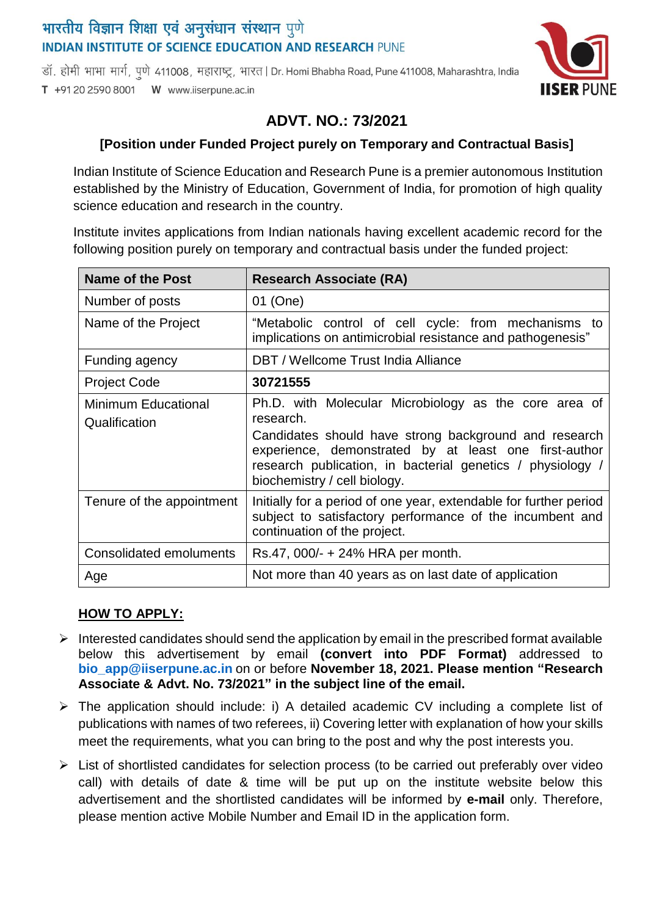## भारतीय विज्ञान शिक्षा एवं अनुसंधान संस्थान पुणे **INDIAN INSTITUTE OF SCIENCE EDUCATION AND RESEARCH PUNE**

डॉ. होमी भाभा मार्ग, पणे 411008, महाराष्ट्र, भारत | Dr. Homi Bhabha Road, Pune 411008, Maharashtra, India T +91 20 2590 8001 W www.iiserpune.ac.in



# **ADVT. NO.: 73/2021**

### **[Position under Funded Project purely on Temporary and Contractual Basis]**

Indian Institute of Science Education and Research Pune is a premier autonomous Institution established by the Ministry of Education, Government of India, for promotion of high quality science education and research in the country.

Institute invites applications from Indian nationals having excellent academic record for the following position purely on temporary and contractual basis under the funded project:

| <b>Name of the Post</b>                     | <b>Research Associate (RA)</b>                                                                                                                                                                                                                                                     |
|---------------------------------------------|------------------------------------------------------------------------------------------------------------------------------------------------------------------------------------------------------------------------------------------------------------------------------------|
| Number of posts                             | 01 (One)                                                                                                                                                                                                                                                                           |
| Name of the Project                         | "Metabolic control of cell cycle: from mechanisms to<br>implications on antimicrobial resistance and pathogenesis"                                                                                                                                                                 |
| Funding agency                              | DBT / Wellcome Trust India Alliance                                                                                                                                                                                                                                                |
| <b>Project Code</b>                         | 30721555                                                                                                                                                                                                                                                                           |
| <b>Minimum Educational</b><br>Qualification | Ph.D. with Molecular Microbiology as the core area of<br>research.<br>Candidates should have strong background and research<br>experience, demonstrated by at least one first-author<br>research publication, in bacterial genetics / physiology /<br>biochemistry / cell biology. |
| Tenure of the appointment                   | Initially for a period of one year, extendable for further period<br>subject to satisfactory performance of the incumbent and<br>continuation of the project.                                                                                                                      |
| Consolidated emoluments                     | Rs.47, 000/- + 24% HRA per month.                                                                                                                                                                                                                                                  |
| Age                                         | Not more than 40 years as on last date of application                                                                                                                                                                                                                              |

### **HOW TO APPLY:**

- $\triangleright$  Interested candidates should send the application by email in the prescribed format available below this advertisement by email **(convert into PDF Format)** addressed to **[bio\\_app@iiserpune.ac.in](mailto:bio_app@iiserpune.ac.in)** on or before **November 18, 2021. Please mention "Research Associate & Advt. No. 73/2021" in the subject line of the email.**
- $\triangleright$  The application should include: i) A detailed academic CV including a complete list of publications with names of two referees, ii) Covering letter with explanation of how your skills meet the requirements, what you can bring to the post and why the post interests you.
- $\triangleright$  List of shortlisted candidates for selection process (to be carried out preferably over video call) with details of date & time will be put up on the institute website below this advertisement and the shortlisted candidates will be informed by **e-mail** only. Therefore, please mention active Mobile Number and Email ID in the application form.